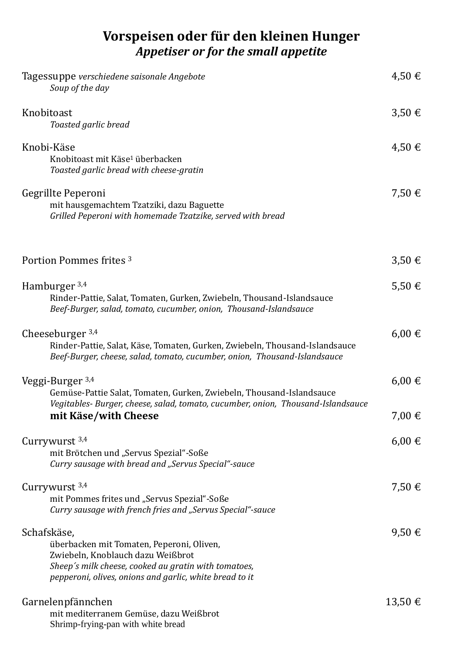## **Vorspeisen oder für den kleinen Hunger** *Appetiser or for the small appetite*

| Tagessuppe verschiedene saisonale Angebote<br>Soup of the day                                                                                                                                                    | 4,50€                |
|------------------------------------------------------------------------------------------------------------------------------------------------------------------------------------------------------------------|----------------------|
| Knobitoast<br>Toasted garlic bread                                                                                                                                                                               | $3,50 \in$           |
| Knobi-Käse<br>Knobitoast mit Käse <sup>1</sup> überbacken<br>Toasted garlic bread with cheese-gratin                                                                                                             | $4,50 \in$           |
| Gegrillte Peperoni<br>mit hausgemachtem Tzatziki, dazu Baguette<br>Grilled Peperoni with homemade Tzatzike, served with bread                                                                                    | 7,50€                |
| Portion Pommes frites 3                                                                                                                                                                                          | $3,50 \in$           |
| Hamburger $3,4$<br>Rinder-Pattie, Salat, Tomaten, Gurken, Zwiebeln, Thousand-Islandsauce<br>Beef-Burger, salad, tomato, cucumber, onion, Thousand-Islandsauce                                                    | $5,50 \in$           |
| Cheeseburger $3,4$<br>Rinder-Pattie, Salat, Käse, Tomaten, Gurken, Zwiebeln, Thousand-Islandsauce<br>Beef-Burger, cheese, salad, tomato, cucumber, onion, Thousand-Islandsauce                                   | $6,00 \in$           |
| Veggi-Burger <sup>3,4</sup><br>Gemüse-Pattie Salat, Tomaten, Gurken, Zwiebeln, Thousand-Islandsauce<br>Vegitables- Burger, cheese, salad, tomato, cucumber, onion, Thousand-Islandsauce<br>mit Käse/with Cheese  | $6,00 \in$<br>7,00 € |
| Currywurst $3,4$<br>mit Brötchen und "Servus Spezial"-Soße<br>Curry sausage with bread and "Servus Special"-sauce                                                                                                | $6,00 \in$           |
| Currywurst $3,4$<br>mit Pommes frites und "Servus Spezial"-Soße<br>Curry sausage with french fries and "Servus Special"-sauce                                                                                    | 7,50€                |
| Schafskäse,<br>überbacken mit Tomaten, Peperoni, Oliven,<br>Zwiebeln, Knoblauch dazu Weißbrot<br>Sheep's milk cheese, cooked au gratin with tomatoes,<br>pepperoni, olives, onions and garlic, white bread to it | 9,50€                |
| Garnelenpfännchen<br>mit mediterranem Gemüse, dazu Weißbrot<br>Shrimp-frying-pan with white bread                                                                                                                | $13,50 \in$          |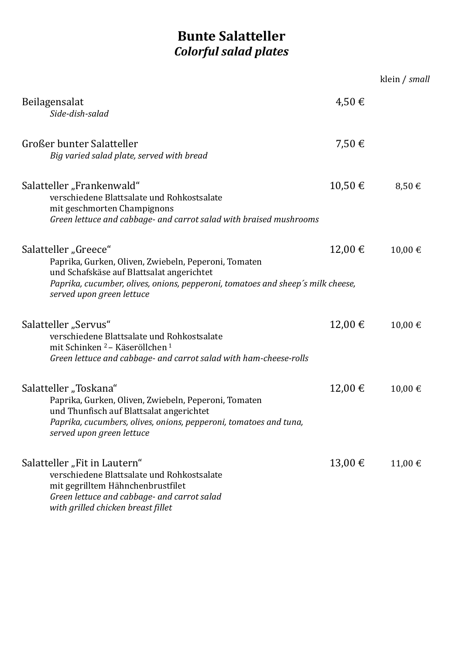## **Bunte Salatteller** *Colorful salad plates*

|                                                                                                                                                                                                                                           |             | klein / small |
|-------------------------------------------------------------------------------------------------------------------------------------------------------------------------------------------------------------------------------------------|-------------|---------------|
| Beilagensalat<br>Side-dish-salad                                                                                                                                                                                                          | $4,50 \in$  |               |
| Großer bunter Salatteller<br>Big varied salad plate, served with bread                                                                                                                                                                    | 7,50€       |               |
| Salatteller "Frankenwald"<br>verschiedene Blattsalate und Rohkostsalate<br>mit geschmorten Champignons<br>Green lettuce and cabbage- and carrot salad with braised mushrooms                                                              | $10,50 \in$ | 8,50€         |
| Salatteller "Greece"<br>Paprika, Gurken, Oliven, Zwiebeln, Peperoni, Tomaten<br>und Schafskäse auf Blattsalat angerichtet<br>Paprika, cucumber, olives, onions, pepperoni, tomatoes and sheep's milk cheese,<br>served upon green lettuce | $12,00 \in$ | 10,00€        |
| Salatteller "Servus"<br>verschiedene Blattsalate und Rohkostsalate<br>mit Schinken <sup>2</sup> – Käseröllchen <sup>1</sup><br>Green lettuce and cabbage- and carrot salad with ham-cheese-rolls                                          | $12,00 \in$ | 10,00 €       |
| Salatteller "Toskana"<br>Paprika, Gurken, Oliven, Zwiebeln, Peperoni, Tomaten<br>und Thunfisch auf Blattsalat angerichtet<br>Paprika, cucumbers, olives, onions, pepperoni, tomatoes and tuna,<br>served upon green lettuce               | $12,00 \in$ | 10,00€        |
| Salatteller "Fit in Lautern"<br>verschiedene Blattsalate und Rohkostsalate<br>mit gegrilltem Hähnchenbrustfilet<br>Green lettuce and cabbage- and carrot salad<br>with grilled chicken breast fillet                                      | $13,00 \in$ | 11,00 €       |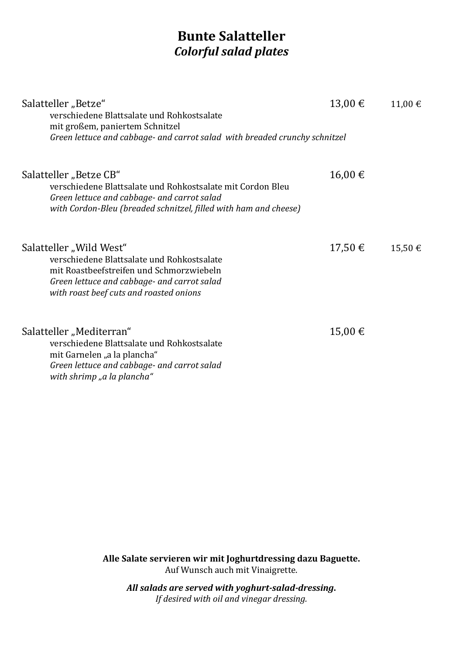### **Bunte Salatteller** *Colorful salad plates*

| Salatteller "Betze"<br>verschiedene Blattsalate und Rohkostsalate<br>mit großem, paniertem Schnitzel<br>Green lettuce and cabbage- and carrot salad with breaded crunchy schnitzel                          | $13,00 \in$ | $11,00 \in$ |
|-------------------------------------------------------------------------------------------------------------------------------------------------------------------------------------------------------------|-------------|-------------|
| Salatteller "Betze CB"<br>verschiedene Blattsalate und Rohkostsalate mit Cordon Bleu<br>Green lettuce and cabbage- and carrot salad<br>with Cordon-Bleu (breaded schnitzel, filled with ham and cheese)     | 16,00 €     |             |
| Salatteller "Wild West"<br>verschiedene Blattsalate und Rohkostsalate<br>mit Roastbeefstreifen und Schmorzwiebeln<br>Green lettuce and cabbage- and carrot salad<br>with roast beef cuts and roasted onions | $17,50 \in$ | $15,50 \in$ |
| Salatteller "Mediterran"<br>verschiedene Blattsalate und Rohkostsalate<br>mit Garnelen "a la plancha"<br>Green lettuce and cabbage- and carrot salad<br>with shrimp "a la plancha"                          | 15,00 €     |             |

**Alle Salate servieren wir mit Joghurtdressing dazu Baguette.** Auf Wunsch auch mit Vinaigrette.

*All salads are served with yoghurt-salad-dressing***.** *If desired with oil and vinegar dressing.*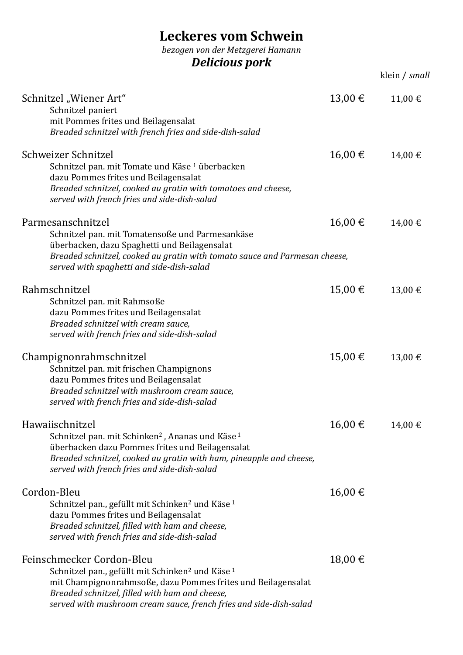# **Leckeres vom Schwein**

*bezogen von der Metzgerei Hamann*

*Delicious pork*

|                                                                                                                                                                                                                                                                                              |         | klein / small |
|----------------------------------------------------------------------------------------------------------------------------------------------------------------------------------------------------------------------------------------------------------------------------------------------|---------|---------------|
| Schnitzel "Wiener Art"<br>Schnitzel paniert<br>mit Pommes frites und Beilagensalat<br>Breaded schnitzel with french fries and side-dish-salad                                                                                                                                                | 13,00 € | 11,00 €       |
| Schweizer Schnitzel<br>Schnitzel pan. mit Tomate und Käse 1 überbacken<br>dazu Pommes frites und Beilagensalat<br>Breaded schnitzel, cooked au gratin with tomatoes and cheese,<br>served with french fries and side-dish-salad                                                              | 16,00 € | 14,00 €       |
| Parmesanschnitzel<br>Schnitzel pan. mit Tomatensoße und Parmesankäse<br>überbacken, dazu Spaghetti und Beilagensalat<br>Breaded schnitzel, cooked au gratin with tomato sauce and Parmesan cheese,<br>served with spaghetti and side-dish-salad                                              | 16,00 € | 14,00 €       |
| Rahmschnitzel<br>Schnitzel pan. mit Rahmsoße<br>dazu Pommes frites und Beilagensalat<br>Breaded schnitzel with cream sauce,<br>served with french fries and side-dish-salad                                                                                                                  | 15,00 € | 13,00 €       |
| Champignonrahmschnitzel<br>Schnitzel pan. mit frischen Champignons<br>dazu Pommes frites und Beilagensalat<br>Breaded schnitzel with mushroom cream sauce,<br>served with french fries and side-dish-salad                                                                                   | 15,00 € | 13,00 €       |
| Hawaiischnitzel<br>Schnitzel pan. mit Schinken <sup>2</sup> , Ananas und Käse <sup>1</sup><br>überbacken dazu Pommes frites und Beilagensalat<br>Breaded schnitzel, cooked au gratin with ham, pineapple and cheese,<br>served with french fries and side-dish-salad                         | 16,00€  | 14,00 €       |
| Cordon-Bleu<br>Schnitzel pan., gefüllt mit Schinken <sup>2</sup> und Käse <sup>1</sup><br>dazu Pommes frites und Beilagensalat<br>Breaded schnitzel, filled with ham and cheese,<br>served with french fries and side-dish-salad                                                             | 16,00€  |               |
| Feinschmecker Cordon-Bleu<br>Schnitzel pan., gefüllt mit Schinken <sup>2</sup> und Käse <sup>1</sup><br>mit Champignonrahmsoße, dazu Pommes frites und Beilagensalat<br>Breaded schnitzel, filled with ham and cheese,<br>served with mushroom cream sauce, french fries and side-dish-salad | 18,00 € |               |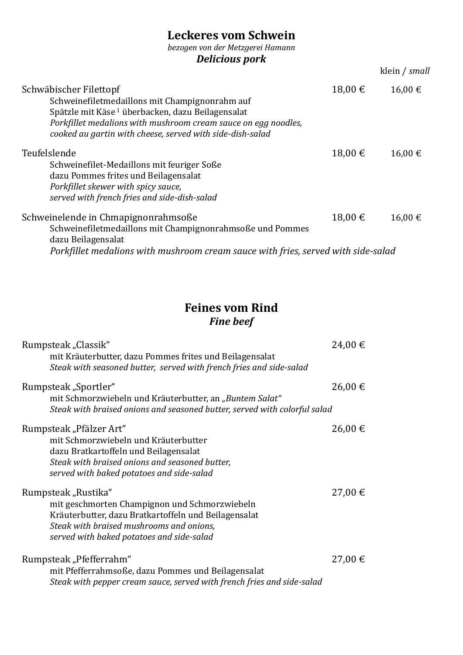### **Leckeres vom Schwein**

*bezogen von der Metzgerei Hamann*

### *Delicious pork*

|                                                                                                                                                                                                                                                                         |             | klein / small |
|-------------------------------------------------------------------------------------------------------------------------------------------------------------------------------------------------------------------------------------------------------------------------|-------------|---------------|
| Schwäbischer Filettopf<br>Schweinefiletmedaillons mit Champignonrahm auf<br>Spätzle mit Käse <sup>1</sup> überbacken, dazu Beilagensalat<br>Porkfillet medalions with mushroom cream sauce on egg noodles,<br>cooked au gartin with cheese, served with side-dish-salad | $18,00 \in$ | 16,00 €       |
| Teufelslende<br>Schweinefilet-Medaillons mit feuriger Soße<br>dazu Pommes frites und Beilagensalat<br>Porkfillet skewer with spicy sauce,<br>served with french fries and side-dish-salad                                                                               | $18,00 \in$ | 16,00€        |
| Schweinelende in Chmapignonrahmsoße<br>Schweinefiletmedaillons mit Champignonrahmsoße und Pommes<br>dazu Beilagensalat<br>Porkfillet medalions with mushroom cream sauce with fries, served with side-salad                                                             | $18,00 \in$ | 16,00 €       |

### **Feines vom Rind** *Fine beef*

| Rumpsteak "Classik"                                                                                                            | 24,00 €     |
|--------------------------------------------------------------------------------------------------------------------------------|-------------|
| mit Kräuterbutter, dazu Pommes frites und Beilagensalat<br>Steak with seasoned butter, served with french fries and side-salad |             |
| Rumpsteak "Sportler"                                                                                                           | 26,00 €     |
| mit Schmorzwiebeln und Kräuterbutter, an "Buntem Salat"                                                                        |             |
| Steak with braised onions and seasoned butter, served with colorful salad                                                      |             |
| Rumpsteak "Pfälzer Art"                                                                                                        | $26,00 \in$ |
| mit Schmorzwiebeln und Kräuterbutter                                                                                           |             |
| dazu Bratkartoffeln und Beilagensalat                                                                                          |             |
| Steak with braised onions and seasoned butter,<br>served with baked potatoes and side-salad                                    |             |
|                                                                                                                                |             |
| Rumpsteak "Rustika"                                                                                                            | 27,00 €     |
| mit geschmorten Champignon und Schmorzwiebeln                                                                                  |             |
| Kräuterbutter, dazu Bratkartoffeln und Beilagensalat<br>Steak with braised mushrooms and onions,                               |             |
| served with baked potatoes and side-salad                                                                                      |             |
|                                                                                                                                |             |
| Rumpsteak "Pfefferrahm"                                                                                                        | 27,00 €     |
| mit Pfefferrahmsoße, dazu Pommes und Beilagensalat                                                                             |             |
| Steak with pepper cream sauce, served with french fries and side-salad                                                         |             |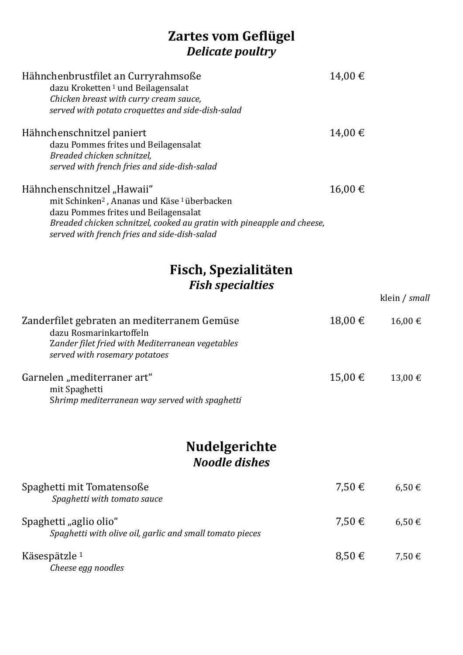### **Zartes vom Geflügel** *Delicate poultry*

| Hähnchenbrustfilet an Curryrahmsoße<br>dazu Kroketten <sup>1</sup> und Beilagensalat<br>Chicken breast with curry cream sauce,<br>served with potato croquettes and side-dish-salad                                                                                 | 14,00 €     |               |
|---------------------------------------------------------------------------------------------------------------------------------------------------------------------------------------------------------------------------------------------------------------------|-------------|---------------|
| Hähnchenschnitzel paniert<br>dazu Pommes frites und Beilagensalat<br>Breaded chicken schnitzel,<br>served with french fries and side-dish-salad                                                                                                                     | 14,00 €     |               |
| Hähnchenschnitzel "Hawaii"<br>mit Schinken <sup>2</sup> , Ananas und Käse <sup>1</sup> überbacken<br>dazu Pommes frites und Beilagensalat<br>Breaded chicken schnitzel, cooked au gratin with pineapple and cheese,<br>served with french fries and side-dish-salad | 16,00 €     |               |
| Fisch, Spezialitäten<br><b>Fish specialties</b>                                                                                                                                                                                                                     |             |               |
|                                                                                                                                                                                                                                                                     |             | klein / small |
| Zanderfilet gebraten an mediterranem Gemüse<br>dazu Rosmarinkartoffeln<br>Zander filet fried with Mediterranean vegetables<br>served with rosemary potatoes                                                                                                         | $18,00 \in$ | 16,00€        |
| Garnelen "mediterraner art"<br>mit Spaghetti<br>Shrimp mediterranean way served with spaghetti                                                                                                                                                                      | 15,00 €     | 13,00 €       |
| <b>Nudelgerichte</b><br><b>Noodle dishes</b>                                                                                                                                                                                                                        |             |               |
| Spaghetti mit Tomatensoße<br>Spaghetti with tomato sauce                                                                                                                                                                                                            | 7,50 €      | $6,50 \in$    |
| Spaghetti "aglio olio"<br>Spaghetti with olive oil, garlic and small tomato pieces                                                                                                                                                                                  | 7,50 €      | $6,50 \in$    |
| Käsespätzle <sup>1</sup><br>Cheese egg noodles                                                                                                                                                                                                                      | $8,50 \in$  | 7,50€         |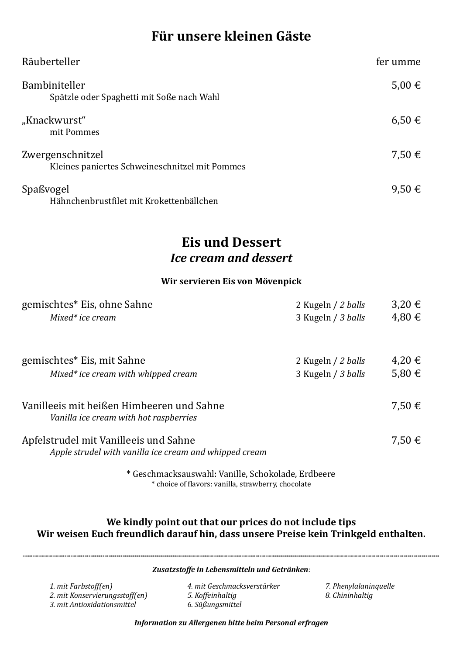### **Für unsere kleinen Gäste**

| Räuberteller                                                       | fer umme   |
|--------------------------------------------------------------------|------------|
| Bambiniteller<br>Spätzle oder Spaghetti mit Soße nach Wahl         | 5,00 €     |
| "Knackwurst"<br>mit Pommes                                         | $6,50 \in$ |
| Zwergenschnitzel<br>Kleines paniertes Schweineschnitzel mit Pommes | 7,50 €     |
| Spaßvogel<br>Hähnchenbrustfilet mit Krokettenbällchen              | 9,50€      |

### **Eis und Dessert** *Ice cream and dessert*

#### **Wir servieren Eis von Mövenpick**

| gemischtes* Eis, ohne Sahne                                                                     | 2 Kugeln / 2 balls                       | $3,20 \in$           |
|-------------------------------------------------------------------------------------------------|------------------------------------------|----------------------|
| Mixed* ice cream                                                                                | 3 Kugeln / 3 balls                       | 4,80€                |
| gemischtes* Eis, mit Sahne<br>Mixed* ice cream with whipped cream                               | 2 Kugeln / 2 balls<br>3 Kugeln / 3 balls | $4,20 \in$<br>5,80 € |
| Vanilleeis mit heißen Himbeeren und Sahne<br>Vanilla ice cream with hot raspberries             |                                          | 7.50 €               |
| Apfelstrudel mit Vanilleeis und Sahne<br>Apple strudel with vanilla ice cream and whipped cream |                                          | 7.50 €               |
|                                                                                                 |                                          |                      |

\* Geschmacksauswahl: Vanille, Schokolade, Erdbeere \* choice of flavors: vanilla, strawberry, chocolate

#### **We kindly point out that our prices do not include tips Wir weisen Euch freundlich darauf hin, dass unsere Preise kein Trinkgeld enthalten.**

| 1. mit Farbstoff(en)<br>2. mit Konservierungsstoff(en) | Zusatzstoffe in Lebensmitteln und Getränken:<br>4. mit Geschmacksverstärker<br>5. Koffeinhaltig | 7. Phenylalaninguelle<br>8. Chininhaltig |
|--------------------------------------------------------|-------------------------------------------------------------------------------------------------|------------------------------------------|
| 3. mit Antioxidationsmittel                            | 6. Süßungsmittel                                                                                |                                          |

*Information zu Allergenen bitte beim Personal erfragen*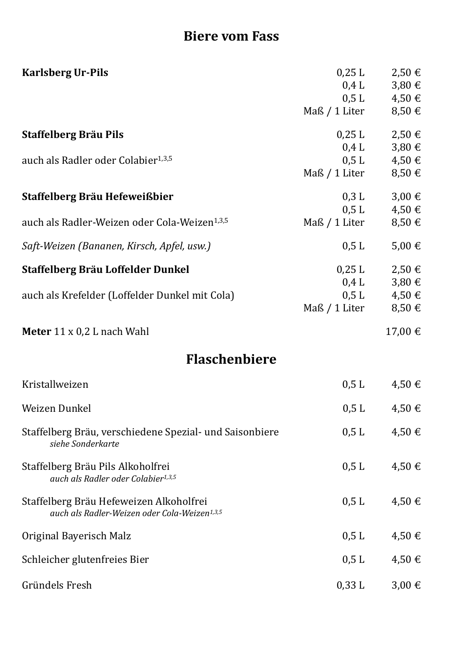# **Biere vom Fass**

| <b>Karlsberg Ur-Pils</b>                                                                            | $0,25$ L<br>Maß / 1 Liter | $2,50 \in$<br>$0,4$ L $3,80 \in$<br>$0,5 L$ $4,50 E$<br>$8,50 \in$                  |
|-----------------------------------------------------------------------------------------------------|---------------------------|-------------------------------------------------------------------------------------|
| <b>Staffelberg Bräu Pils</b>                                                                        |                           | $0,25 \text{ L}$ $2,50 \in$                                                         |
| auch als Radler oder Colabier <sup>1,3,5</sup>                                                      | 0.4 L<br>Maß / 1 Liter    | $3,80 \in$<br>$0,5 L$ $4,50 \in$<br>$8,50 \in$                                      |
| Staffelberg Bräu Hefeweißbier                                                                       | $0,3$ L                   | $3,00 \in$                                                                          |
| auch als Radler-Weizen oder Cola-Weizen <sup>1,3,5</sup>                                            | Maß / 1 Liter             | $0,5 L$ $4,50 E$<br>$8,50 \in$                                                      |
| Saft-Weizen (Bananen, Kirsch, Apfel, usw.)                                                          | 0,5 L                     | $5,00 \in$                                                                          |
| Staffelberg Bräu Loffelder Dunkel<br>auch als Krefelder (Loffelder Dunkel mit Cola)                 | Maß / 1 Liter             | $0,25 \text{ L}$ $2,50 \in$<br>$0,4$ L $3,80 \in$<br>$0,5 L$ $4,50 E$<br>$8,50 \in$ |
| <b>Meter</b> $11 \times 0.2$ L nach Wahl                                                            |                           | 17,00 €                                                                             |
| <b>Flaschenbiere</b>                                                                                |                           |                                                                                     |
| Kristallweizen                                                                                      | 0,5 L                     | $4,50 \in$                                                                          |
| Weizen Dunkel                                                                                       | $0,5$ L                   | $4,50 \in$                                                                          |
| Staffelberg Bräu, verschiedene Spezial- und Saisonbiere<br>siehe Sonderkarte                        | 0,5 L                     | $4,50 \in$                                                                          |
| Staffelberg Bräu Pils Alkoholfrei<br>auch als Radler oder Colabier <sup>1,3,5</sup>                 | 0,5 L                     | 4,50€                                                                               |
| Staffelberg Bräu Hefeweizen Alkoholfrei<br>auch als Radler-Weizen oder Cola-Weizen <sup>1,3,5</sup> | 0,5 L                     | 4,50€                                                                               |
| Original Bayerisch Malz                                                                             | 0,5 L                     | 4,50€                                                                               |
| Schleicher glutenfreies Bier                                                                        | 0,5 L                     | 4,50€                                                                               |
| Gründels Fresh                                                                                      | 0,33 L                    | $3,00 \in$                                                                          |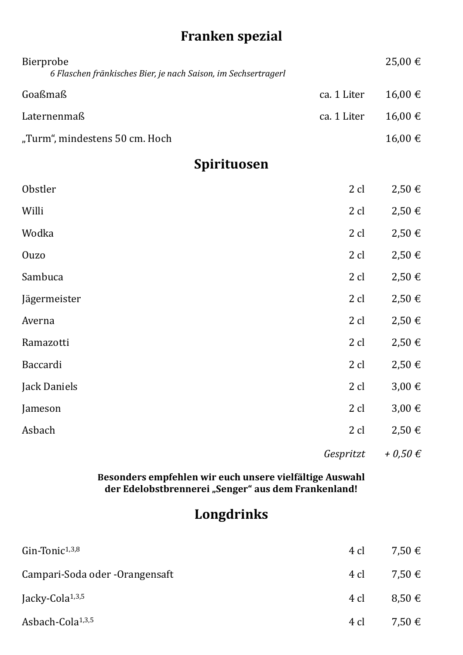# **Franken spezial**

| Bierprobe<br>6 Flaschen fränkisches Bier, je nach Saison, im Sechsertragerl |             | 25,00 €      |
|-----------------------------------------------------------------------------|-------------|--------------|
| Goaßmaß                                                                     | ca. 1 Liter | 16,00 €      |
| Laternenmaß                                                                 | ca. 1 Liter | 16,00€       |
| "Turm", mindestens 50 cm. Hoch                                              |             | 16,00€       |
| Spirituosen                                                                 |             |              |
| Obstler                                                                     | 2 cl        | $2,50 \in$   |
| Willi                                                                       | 2 cl        | $2,50 \in$   |
| Wodka                                                                       | 2 cl        | $2,50 \in$   |
| Ouzo                                                                        | 2 cl        | $2,50 \in$   |
| Sambuca                                                                     | 2 cl        | $2,50 \in$   |
| Jägermeister                                                                | 2 cl        | $2,50 \in$   |
| Averna                                                                      | 2 cl        | $2,50 \in$   |
| Ramazotti                                                                   | 2 cl        | $2,50 \in$   |
| Baccardi                                                                    | 2 cl        | $2,50 \in$   |
| Jack Daniels                                                                | 2 cl        | $3,00 \in$   |
| Jameson                                                                     | $2$ cl      | $3,00 \in$   |
| Asbach                                                                      | 2 cl        | $2,50 \in$   |
|                                                                             | Gespritzt   | $+ 0.50 \in$ |

**Besonders empfehlen wir euch unsere vielfältige Auswahl der Edelobstbrennerei "Senger" aus dem Frankenland!**

## **Longdrinks**

| $G$ in-Tonic $1,3,8$           | 4 cl | 7.50 €          |
|--------------------------------|------|-----------------|
| Campari-Soda oder -Orangensaft |      | 4 cl 7,50 €     |
| Jacky-Cola <sup>1,3,5</sup>    | 4 cl | $8.50 \in$      |
| Asbach-Cola <sup>1,3,5</sup>   |      | 4 cl $7,50 \in$ |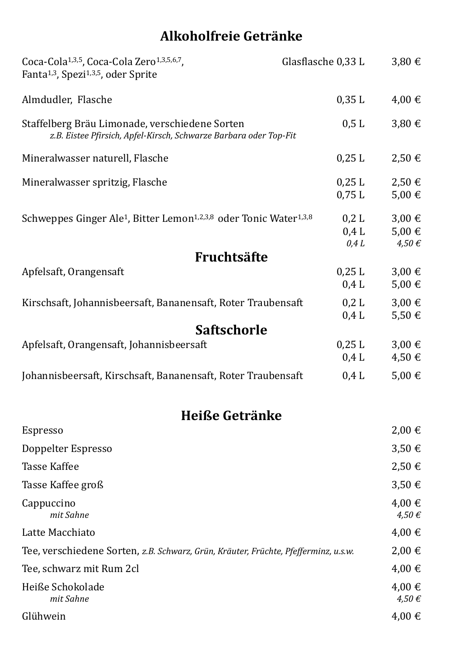# **Alkoholfreie Getränke**

| Coca-Cola <sup>1,3,5</sup> , Coca-Cola Zero <sup>1,3,5,6,7</sup> ,<br>Fanta <sup>1,3</sup> , Spezi <sup>1,3,5</sup> , oder Sprite | Glasflasche 0,33 L     | $3,80 \in$                             |
|-----------------------------------------------------------------------------------------------------------------------------------|------------------------|----------------------------------------|
| Almdudler, Flasche                                                                                                                | 0,35 L                 | $4,00 \in$                             |
| Staffelberg Bräu Limonade, verschiedene Sorten<br>z.B. Eistee Pfirsich, Apfel-Kirsch, Schwarze Barbara oder Top-Fit               | 0,5 L                  | $3,80 \in$                             |
| Mineralwasser naturell, Flasche                                                                                                   | 0,25 L                 | $2,50 \in$                             |
| Mineralwasser spritzig, Flasche                                                                                                   | 0,25 L<br>0,75 L       | 2,50€<br>$5,00 \in$                    |
| Schweppes Ginger Ale <sup>1</sup> , Bitter Lemon <sup>1,2,3,8</sup> oder Tonic Water <sup>1,3,8</sup>                             | 0,2 L<br>0.4 L<br>0.4L | $3,00 \in$<br>$5,00 \in$<br>$4,50 \in$ |
| Fruchtsäfte                                                                                                                       |                        |                                        |
| Apfelsaft, Orangensaft                                                                                                            | $0,25$ L<br>0.4 L      | $3,00 \in$<br>$5,00 \in$               |
| Kirschsaft, Johannisbeersaft, Bananensaft, Roter Traubensaft                                                                      | 0,2 L<br>0.4 L         | $3,00 \in$<br>$5,50 \in$               |
| <b>Saftschorle</b>                                                                                                                |                        |                                        |
| Apfelsaft, Orangensaft, Johannisbeersaft                                                                                          | $0,25$ L<br>0.4 L      | $3,00 \in$<br>$4,50 \in$               |
| Johannisbeersaft, Kirschsaft, Bananensaft, Roter Traubensaft                                                                      | 0.4 L                  | $5,00 \in$                             |
| Heiße Getränke                                                                                                                    |                        |                                        |
| <b>Espresso</b>                                                                                                                   |                        | $2,00 \in$                             |
| Doppelter Espresso                                                                                                                |                        | $3,50 \in$                             |
| <b>Tasse Kaffee</b>                                                                                                               |                        | $2,50 \in$                             |
| Tasse Kaffee groß                                                                                                                 |                        | $3,50 \in$                             |
| Cappuccino<br>mit Sahne                                                                                                           |                        | $4,00 \in$<br>$4,50 \in$               |
| Latte Macchiato                                                                                                                   |                        | $4,00 \in$                             |
| Tee, verschiedene Sorten, z.B. Schwarz, Grün, Kräuter, Früchte, Pfefferminz, u.s.w.                                               |                        | $2,00 \in$                             |
| Tee, schwarz mit Rum 2cl                                                                                                          |                        | $4,00 \in$                             |
| Heiße Schokolade<br>mit Sahne                                                                                                     |                        | $4,00 \in$<br>$4,50 \in$               |
| Glühwein                                                                                                                          |                        | $4,00 \in$                             |